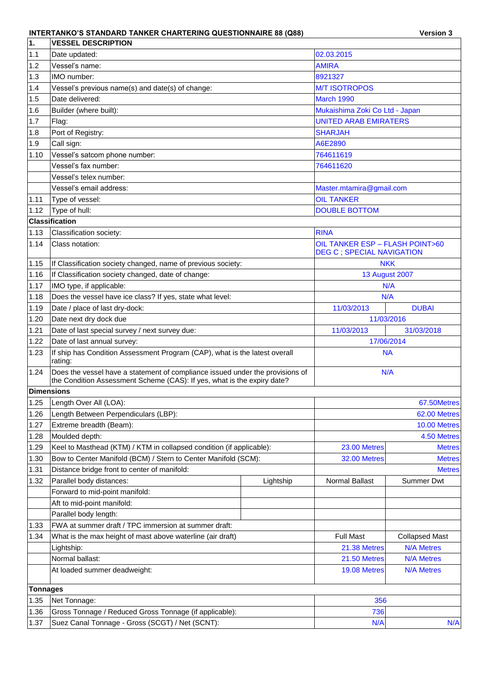## **INTERTANKO'S STANDARD TANKER CHARTERING QUESTIONNAIRE 88 (Q88) Version 3**

| ∣1.               | <b>IVESSEL DESCRIPTION</b>                                                                                                                               |                      |                                                                      |                       |  |
|-------------------|----------------------------------------------------------------------------------------------------------------------------------------------------------|----------------------|----------------------------------------------------------------------|-----------------------|--|
| 1.1               | Date updated:                                                                                                                                            | 02.03.2015           |                                                                      |                       |  |
| 1.2               | Vessel's name:                                                                                                                                           |                      | <b>AMIRA</b>                                                         |                       |  |
| 1.3               | IMO number:                                                                                                                                              | 8921327              |                                                                      |                       |  |
| 1.4               | Vessel's previous name(s) and date(s) of change:                                                                                                         | <b>M/T ISOTROPOS</b> |                                                                      |                       |  |
| 1.5               | Date delivered:                                                                                                                                          |                      | <b>March 1990</b>                                                    |                       |  |
| 1.6               | Builder (where built):                                                                                                                                   |                      | Mukaishima Zoki Co Ltd - Japan                                       |                       |  |
| 1.7               | Flag:                                                                                                                                                    |                      | <b>UNITED ARAB EMIRATERS</b>                                         |                       |  |
| 1.8               | Port of Registry:                                                                                                                                        |                      | <b>SHARJAH</b>                                                       |                       |  |
| 1.9               | Call sign:                                                                                                                                               |                      | A6E2890                                                              |                       |  |
| 1.10              | Vessel's satcom phone number:                                                                                                                            |                      | 764611619                                                            |                       |  |
|                   | Vessel's fax number:                                                                                                                                     |                      | 764611620                                                            |                       |  |
|                   | Vessel's telex number:                                                                                                                                   |                      |                                                                      |                       |  |
|                   | Vessel's email address:                                                                                                                                  |                      | Master.mtamira@gmail.com                                             |                       |  |
| 1.11              | Type of vessel:                                                                                                                                          |                      | <b>OIL TANKER</b>                                                    |                       |  |
| 1.12              | Type of hull:                                                                                                                                            |                      | <b>DOUBLE BOTTOM</b>                                                 |                       |  |
|                   | <b>Classification</b>                                                                                                                                    |                      |                                                                      |                       |  |
| 1.13              | Classification society:                                                                                                                                  |                      | <b>RINA</b>                                                          |                       |  |
| 1.14              | Class notation:                                                                                                                                          |                      | OIL TANKER ESP - FLASH POINT>60<br><b>DEG C ; SPECIAL NAVIGATION</b> |                       |  |
| 1.15              | If Classification society changed, name of previous society:                                                                                             |                      |                                                                      | <b>NKK</b>            |  |
| 1.16              | If Classification society changed, date of change:                                                                                                       |                      |                                                                      | <b>13 August 2007</b> |  |
| 1.17              | IMO type, if applicable:                                                                                                                                 | N/A                  |                                                                      |                       |  |
| 1.18              | Does the vessel have ice class? If yes, state what level:                                                                                                |                      | N/A                                                                  |                       |  |
| 1.19              | Date / place of last dry-dock:                                                                                                                           |                      | 11/03/2013                                                           | <b>DUBAI</b>          |  |
| 1.20              | Date next dry dock due                                                                                                                                   |                      |                                                                      | 11/03/2016            |  |
| 1.21              | Date of last special survey / next survey due:                                                                                                           |                      | 11/03/2013                                                           | 31/03/2018            |  |
| 1.22              | Date of last annual survey:                                                                                                                              |                      |                                                                      | 17/06/2014            |  |
| 1.23              | If ship has Condition Assessment Program (CAP), what is the latest overall<br>rating:                                                                    |                      | <b>NA</b>                                                            |                       |  |
| 1.24              | Does the vessel have a statement of compliance issued under the provisions of<br>the Condition Assessment Scheme (CAS): If yes, what is the expiry date? |                      |                                                                      | N/A                   |  |
| <b>Dimensions</b> |                                                                                                                                                          |                      |                                                                      |                       |  |
|                   | 1.25 Length Over All (LOA):                                                                                                                              |                      |                                                                      | 67.50Metres           |  |
| 1.26              | Length Between Perpendiculars (LBP):                                                                                                                     |                      | 62.00 Metres                                                         |                       |  |
| 1.27              | Extreme breadth (Beam):                                                                                                                                  |                      |                                                                      | 10.00 Metres          |  |
| 1.28              | Moulded depth:                                                                                                                                           |                      |                                                                      | 4.50 Metres           |  |
| 1.29              | Keel to Masthead (KTM) / KTM in collapsed condition (if applicable):                                                                                     |                      | 23.00 Metres                                                         | <b>Metres</b>         |  |
| 1.30              | Bow to Center Manifold (BCM) / Stern to Center Manifold (SCM):                                                                                           |                      | <b>32.00 Metres</b>                                                  | <b>Metres</b>         |  |
| 1.31              | Distance bridge front to center of manifold:                                                                                                             |                      |                                                                      | <b>Metres</b>         |  |
| 1.32              | Parallel body distances:                                                                                                                                 | Lightship            | Normal Ballast                                                       | Summer Dwt            |  |
|                   | Forward to mid-point manifold:                                                                                                                           |                      |                                                                      |                       |  |
|                   | Aft to mid-point manifold:                                                                                                                               |                      |                                                                      |                       |  |
|                   | Parallel body length:                                                                                                                                    |                      |                                                                      |                       |  |
| 1.33              | FWA at summer draft / TPC immersion at summer draft:                                                                                                     |                      |                                                                      |                       |  |
| 1.34              | What is the max height of mast above waterline (air draft)                                                                                               |                      | <b>Full Mast</b>                                                     | <b>Collapsed Mast</b> |  |
|                   | Lightship:                                                                                                                                               |                      | 21.38 Metres                                                         | <b>N/A Metres</b>     |  |
|                   | Normal ballast:                                                                                                                                          |                      | 21.50 Metres                                                         | <b>N/A Metres</b>     |  |
|                   | At loaded summer deadweight:                                                                                                                             | 19.08 Metres         | <b>N/A Metres</b>                                                    |                       |  |
| <b>Tonnages</b>   |                                                                                                                                                          |                      |                                                                      |                       |  |
| 1.35              | Net Tonnage:                                                                                                                                             |                      | 356                                                                  |                       |  |
| 1.36              | Gross Tonnage / Reduced Gross Tonnage (if applicable):                                                                                                   |                      | 736                                                                  |                       |  |
| 1.37              | Suez Canal Tonnage - Gross (SCGT) / Net (SCNT):                                                                                                          | N/A                  | N/A                                                                  |                       |  |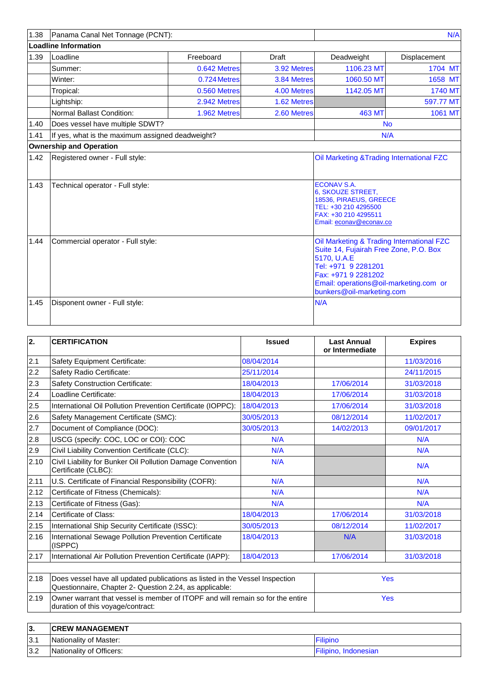| 1.38 | Panama Canal Net Tonnage (PCNT):                 |              |             |                                                                                                                                                                                                                         | N/A            |
|------|--------------------------------------------------|--------------|-------------|-------------------------------------------------------------------------------------------------------------------------------------------------------------------------------------------------------------------------|----------------|
|      | <b>Loadline Information</b>                      |              |             |                                                                                                                                                                                                                         |                |
| 1.39 | Loadline                                         | Freeboard    | Draft       | Deadweight                                                                                                                                                                                                              | Displacement   |
|      | Summer:                                          | 0.642 Metres | 3.92 Metres | 1106.23 MT                                                                                                                                                                                                              | 1704 MT        |
|      | Winter:                                          | 0.724 Metres | 3.84 Metres | 1060.50 MT                                                                                                                                                                                                              | 1658 MT        |
|      | Tropical:                                        | 0.560 Metres | 4.00 Metres | 1142.05 MT                                                                                                                                                                                                              | <b>1740 MT</b> |
|      | Lightship:                                       | 2.942 Metres | 1.62 Metres |                                                                                                                                                                                                                         | 597.77 MT      |
|      | Normal Ballast Condition:                        | 1.962 Metres | 2.60 Metres | <b>463 MT</b>                                                                                                                                                                                                           | 1061 MT        |
| 1.40 | Does vessel have multiple SDWT?                  |              |             | <b>No</b>                                                                                                                                                                                                               |                |
| 1.41 | If yes, what is the maximum assigned deadweight? |              |             | N/A                                                                                                                                                                                                                     |                |
|      | <b>Ownership and Operation</b>                   |              |             |                                                                                                                                                                                                                         |                |
| 1.42 | Registered owner - Full style:                   |              |             | Oil Marketing & Trading International FZC                                                                                                                                                                               |                |
| 1.43 | Technical operator - Full style:                 |              |             | <b>ECONAV S.A.</b><br>6, SKOUZE STREET,<br>18536, PIRAEUS, GREECE<br>TEL: +30 210 4295500<br>FAX: +30 210 4295511<br>Email: econav@econav.co                                                                            |                |
| 1.44 | Commercial operator - Full style:                |              |             | Oil Marketing & Trading International FZC<br>Suite 14, Fujairah Free Zone, P.O. Box<br>5170, U.A.E<br>Tel: +971 9 2281201<br>Fax: +971 9 2281202<br>Email: operations@oil-marketing.com or<br>bunkers@oil-marketing.com |                |
| 1.45 | Disponent owner - Full style:                    |              |             | N/A                                                                                                                                                                                                                     |                |

| 2.   | <b>CERTIFICATION</b>                                                                                                                    | <b>Issued</b> | <b>Last Annual</b><br>or Intermediate | <b>Expires</b> |
|------|-----------------------------------------------------------------------------------------------------------------------------------------|---------------|---------------------------------------|----------------|
| 2.1  | Safety Equipment Certificate:                                                                                                           | 08/04/2014    |                                       | 11/03/2016     |
| 2.2  | Safety Radio Certificate:                                                                                                               | 25/11/2014    |                                       | 24/11/2015     |
| 2.3  | <b>Safety Construction Certificate:</b>                                                                                                 | 18/04/2013    | 17/06/2014                            | 31/03/2018     |
| 2.4  | Loadline Certificate:                                                                                                                   | 18/04/2013    | 17/06/2014                            | 31/03/2018     |
| 2.5  | International Oil Pollution Prevention Certificate (IOPPC):                                                                             | 18/04/2013    | 17/06/2014                            | 31/03/2018     |
| 2.6  | Safety Management Certificate (SMC):                                                                                                    | 30/05/2013    | 08/12/2014                            | 11/02/2017     |
| 2.7  | Document of Compliance (DOC):                                                                                                           | 30/05/2013    | 14/02/2013                            | 09/01/2017     |
| 2.8  | USCG (specify: COC, LOC or COI): COC                                                                                                    | N/A           |                                       | N/A            |
| 2.9  | Civil Liability Convention Certificate (CLC):                                                                                           | N/A           |                                       | N/A            |
| 2.10 | Civil Liability for Bunker Oil Pollution Damage Convention<br>Certificate (CLBC):                                                       | N/A           |                                       | N/A            |
| 2.11 | U.S. Certificate of Financial Responsibility (COFR):                                                                                    | N/A           |                                       | N/A            |
| 2.12 | Certificate of Fitness (Chemicals):                                                                                                     | N/A           |                                       | N/A            |
| 2.13 | Certificate of Fitness (Gas):                                                                                                           | N/A           |                                       | N/A            |
| 2.14 | Certificate of Class:                                                                                                                   | 18/04/2013    | 17/06/2014                            | 31/03/2018     |
| 2.15 | International Ship Security Certificate (ISSC):                                                                                         | 30/05/2013    | 08/12/2014                            | 11/02/2017     |
| 2.16 | International Sewage Pollution Prevention Certificate<br>(ISPPC)                                                                        | 18/04/2013    | N/A                                   | 31/03/2018     |
| 2.17 | International Air Pollution Prevention Certificate (IAPP):                                                                              | 18/04/2013    | 17/06/2014                            | 31/03/2018     |
| 2.18 | Does vessel have all updated publications as listed in the Vessel Inspection<br>Questionnaire, Chapter 2- Question 2.24, as applicable: | Yes           |                                       |                |
| 2.19 | Owner warrant that vessel is member of ITOPF and will remain so for the entire<br>duration of this voyage/contract:                     | <b>Yes</b>    |                                       |                |
| 3.   | <b>CREW MANAGEMENT</b>                                                                                                                  |               |                                       |                |

| ۱J. | IUREW MANAGEMENT                       |                         |
|-----|----------------------------------------|-------------------------|
| 3.1 | <sup>'</sup> of Master:<br>Nationality | ·Ilipinc                |
| 3.2 | Nationality of Officers:               | Indonesian<br>ווכ<br>ΊС |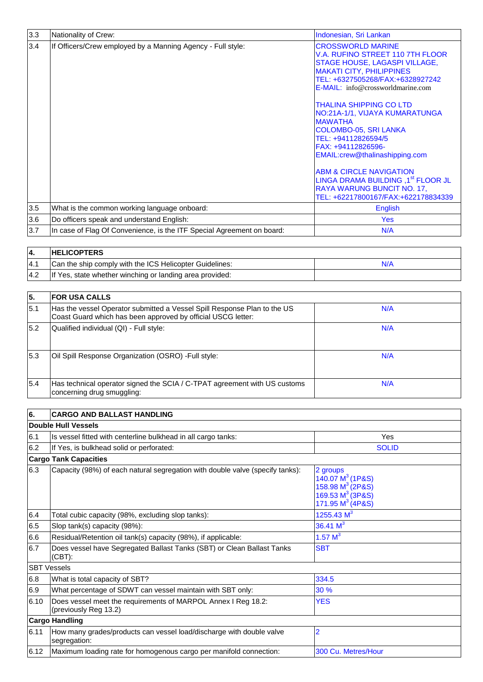| 3.3 | Nationality of Crew:                                                   | Indonesian, Sri Lankan                                                                                                                                                                                                                                                                                                                                          |
|-----|------------------------------------------------------------------------|-----------------------------------------------------------------------------------------------------------------------------------------------------------------------------------------------------------------------------------------------------------------------------------------------------------------------------------------------------------------|
| 3.4 | If Officers/Crew employed by a Manning Agency - Full style:            | <b>CROSSWORLD MARINE</b><br>V.A. RUFINO STREET 110 7TH FLOOR<br>STAGE HOUSE, LAGASPI VILLAGE,<br><b>MAKATI CITY, PHILIPPINES</b><br>TEL: +6327505268/FAX:+6328927242<br><b>E-MAIL:</b> info@crossworldmarine.com                                                                                                                                                |
|     |                                                                        | <b>THALINA SHIPPING CO LTD</b><br>NO:21A-1/1, VIJAYA KUMARATUNGA<br><b>MAWATHA</b><br>COLOMBO-05, SRI LANKA<br>TEL: +94112826594/5<br>FAX: +94112826596-<br>EMAIL:crew@thalinashipping.com<br><b>ABM &amp; CIRCLE NAVIGATION</b><br>LINGA DRAMA BUILDING , 1 <sup>st</sup> FLOOR JL<br><b>RAYA WARUNG BUNCIT NO. 17,</b><br>TEL: +62217800167/FAX:+622178834339 |
| 3.5 | What is the common working language onboard:                           | English                                                                                                                                                                                                                                                                                                                                                         |
| 3.6 | Do officers speak and understand English:                              | <b>Yes</b>                                                                                                                                                                                                                                                                                                                                                      |
| 3.7 | In case of Flag Of Convenience, is the ITF Special Agreement on board: | N/A                                                                                                                                                                                                                                                                                                                                                             |

| 14. | <b>HELICOPTERS</b>                                       |  |
|-----|----------------------------------------------------------|--|
| 4.1 | Can the ship comply with the ICS Helicopter Guidelines:  |  |
| 4.2 | If Yes, state whether winching or landing area provided: |  |

| 15. | <b>IFOR USA CALLS</b>                                                                                                                    |     |
|-----|------------------------------------------------------------------------------------------------------------------------------------------|-----|
| 5.1 | Has the vessel Operator submitted a Vessel Spill Response Plan to the US<br>Coast Guard which has been approved by official USCG letter: | N/A |
| 5.2 | Qualified individual (QI) - Full style:                                                                                                  | N/A |
| 5.3 | Oil Spill Response Organization (OSRO) - Full style:                                                                                     | N/A |
| 5.4 | Has technical operator signed the SCIA / C-TPAT agreement with US customs<br>concerning drug smuggling:                                  | N/A |

| 6.                 | <b>CARGO AND BALLAST HANDLING</b>                                                      |                                                                                                      |  |  |  |  |  |
|--------------------|----------------------------------------------------------------------------------------|------------------------------------------------------------------------------------------------------|--|--|--|--|--|
|                    | Double Hull Vessels                                                                    |                                                                                                      |  |  |  |  |  |
| 6.1                | Is vessel fitted with centerline bulkhead in all cargo tanks:                          | Yes                                                                                                  |  |  |  |  |  |
| 6.2                | If Yes, is bulkhead solid or perforated:                                               | <b>SOLID</b>                                                                                         |  |  |  |  |  |
|                    | <b>Cargo Tank Capacities</b>                                                           |                                                                                                      |  |  |  |  |  |
| 6.3                | Capacity (98%) of each natural segregation with double valve (specify tanks):          | 2 groups<br>140.07 $M^3$ (1P&S)<br>158.98 $M^3$ (2P&S)<br>169.53 $M^3$ (3P&S)<br>171.95 $M^3$ (4P&S) |  |  |  |  |  |
| 6.4                | Total cubic capacity (98%, excluding slop tanks):                                      | 1255.43 $M^3$                                                                                        |  |  |  |  |  |
| 6.5                | Slop tank(s) capacity (98%):                                                           | 36.41 $M^3$                                                                                          |  |  |  |  |  |
| 6.6                | Residual/Retention oil tank(s) capacity (98%), if applicable:                          | 1.57 $M^3$                                                                                           |  |  |  |  |  |
| 6.7                | Does vessel have Segregated Ballast Tanks (SBT) or Clean Ballast Tanks<br>$(CBT)$ :    | <b>SBT</b>                                                                                           |  |  |  |  |  |
| <b>SBT Vessels</b> |                                                                                        |                                                                                                      |  |  |  |  |  |
| 6.8                | What is total capacity of SBT?                                                         | 334.5                                                                                                |  |  |  |  |  |
| 6.9                | What percentage of SDWT can vessel maintain with SBT only:                             | 30 %                                                                                                 |  |  |  |  |  |
| 6.10               | Does vessel meet the requirements of MARPOL Annex I Reg 18.2:<br>(previously Reg 13.2) | <b>YES</b>                                                                                           |  |  |  |  |  |
|                    | <b>Cargo Handling</b>                                                                  |                                                                                                      |  |  |  |  |  |
| 6.11               | How many grades/products can vessel load/discharge with double valve<br>segregation:   | $\overline{2}$                                                                                       |  |  |  |  |  |
| 6.12               | Maximum loading rate for homogenous cargo per manifold connection:                     | 300 Cu. Metres/Hour                                                                                  |  |  |  |  |  |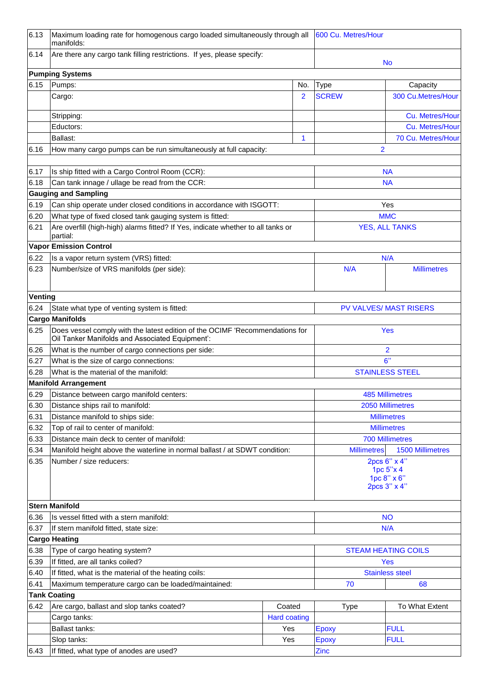| 6.13           | Maximum loading rate for homogenous cargo loaded simultaneously through all<br>manifolds:                                       |                        |     | 600 Cu. Metres/Hour      |                                               |  |
|----------------|---------------------------------------------------------------------------------------------------------------------------------|------------------------|-----|--------------------------|-----------------------------------------------|--|
| 6.14           | Are there any cargo tank filling restrictions. If yes, please specify:                                                          |                        |     |                          | <b>No</b>                                     |  |
|                | <b>Pumping Systems</b>                                                                                                          |                        |     |                          |                                               |  |
| 6.15           | Pumps:                                                                                                                          |                        | No. | <b>Type</b>              | Capacity                                      |  |
|                | Cargo:                                                                                                                          |                        | 2   | <b>SCREW</b>             | 300 Cu.Metres/Hour                            |  |
|                | Stripping:                                                                                                                      |                        |     |                          | Cu. Metres/Hour                               |  |
|                | Eductors:                                                                                                                       |                        |     |                          | Cu. Metres/Hour                               |  |
|                | Ballast:                                                                                                                        |                        | 1   |                          | 70 Cu. Metres/Hour                            |  |
| 6.16           | How many cargo pumps can be run simultaneously at full capacity:                                                                |                        |     |                          | 2                                             |  |
| 6.17           | Is ship fitted with a Cargo Control Room (CCR):                                                                                 |                        |     |                          | <b>NA</b>                                     |  |
| 6.18           | Can tank innage / ullage be read from the CCR:                                                                                  |                        |     |                          | <b>NA</b>                                     |  |
|                | <b>Gauging and Sampling</b>                                                                                                     |                        |     |                          |                                               |  |
| 6.19           | Can ship operate under closed conditions in accordance with ISGOTT:                                                             |                        |     |                          | Yes                                           |  |
| 6.20           | What type of fixed closed tank gauging system is fitted:                                                                        |                        |     |                          | <b>MMC</b>                                    |  |
| 6.21           | Are overfill (high-high) alarms fitted? If Yes, indicate whether to all tanks or                                                |                        |     |                          | <b>YES, ALL TANKS</b>                         |  |
|                | partial:<br><b>Vapor Emission Control</b>                                                                                       |                        |     |                          |                                               |  |
| 6.22           | Is a vapor return system (VRS) fitted:                                                                                          |                        |     |                          | N/A                                           |  |
| 6.23           | Number/size of VRS manifolds (per side):                                                                                        |                        |     | N/A                      | <b>Millimetres</b>                            |  |
| <b>Venting</b> |                                                                                                                                 |                        |     |                          |                                               |  |
| 6.24           | State what type of venting system is fitted:                                                                                    |                        |     |                          | <b>PV VALVES/ MAST RISERS</b>                 |  |
|                | <b>Cargo Manifolds</b>                                                                                                          |                        |     |                          |                                               |  |
| 6.25           | Does vessel comply with the latest edition of the OCIMF 'Recommendations for<br>Oil Tanker Manifolds and Associated Equipment': |                        |     |                          | <b>Yes</b>                                    |  |
| 6.26           | What is the number of cargo connections per side:                                                                               |                        |     | 2                        |                                               |  |
| 6.27           | What is the size of cargo connections:                                                                                          |                        |     | 6"                       |                                               |  |
| 6.28           | What is the material of the manifold:                                                                                           |                        |     |                          | <b>STAINLESS STEEL</b>                        |  |
|                | <b>Manifold Arrangement</b>                                                                                                     |                        |     |                          |                                               |  |
| 6.29           | Distance between cargo manifold centers:                                                                                        |                        |     |                          | <b>485 Millimetres</b>                        |  |
| 6.30           | Distance ships rail to manifold:                                                                                                |                        |     |                          | 2050 Millimetres                              |  |
| 6.31           | Distance manifold to ships side:                                                                                                |                        |     |                          | <b>Millimetres</b>                            |  |
| 6.32           | Top of rail to center of manifold:                                                                                              |                        |     | <b>Millimetres</b>       |                                               |  |
| 6.33           | Distance main deck to center of manifold:                                                                                       |                        |     |                          | <b>700 Millimetres</b>                        |  |
| 6.34           | Manifold height above the waterline in normal ballast / at SDWT condition:                                                      |                        |     |                          | <b>Millimetres</b><br><b>1500 Millimetres</b> |  |
| 6.35           | Number / size reducers:                                                                                                         |                        |     | 2pcs 6" x 4"             |                                               |  |
|                |                                                                                                                                 |                        |     | 1pc 5"x 4<br>1pc 8" x 6" |                                               |  |
|                |                                                                                                                                 |                        |     |                          | 2pcs 3" x 4"                                  |  |
|                | <b>Stern Manifold</b>                                                                                                           |                        |     |                          |                                               |  |
| 6.36           | Is vessel fitted with a stern manifold:                                                                                         |                        |     |                          | <b>NO</b>                                     |  |
| 6.37           | If stern manifold fitted, state size:                                                                                           |                        |     | N/A                      |                                               |  |
|                | <b>Cargo Heating</b>                                                                                                            |                        |     |                          |                                               |  |
| 6.38           | Type of cargo heating system?                                                                                                   |                        |     |                          | <b>STEAM HEATING COILS</b>                    |  |
| 6.39           | If fitted, are all tanks coiled?<br><b>Yes</b>                                                                                  |                        |     |                          |                                               |  |
| 6.40           | If fitted, what is the material of the heating coils:                                                                           | <b>Stainless steel</b> |     |                          |                                               |  |
| 6.41           | Maximum temperature cargo can be loaded/maintained:                                                                             |                        | 70  | 68                       |                                               |  |
|                | <b>Tank Coating</b>                                                                                                             |                        |     |                          |                                               |  |
| 6.42           | Are cargo, ballast and slop tanks coated?                                                                                       | Coated                 |     | <b>Type</b>              | To What Extent                                |  |
|                | Cargo tanks:                                                                                                                    | <b>Hard coating</b>    |     |                          |                                               |  |
|                | <b>Ballast tanks:</b>                                                                                                           | Yes                    |     | <b>Epoxy</b>             | <b>FULL</b>                                   |  |
|                | Slop tanks:                                                                                                                     | Yes                    |     | <b>Epoxy</b>             | <b>FULL</b>                                   |  |
| 6.43           | If fitted, what type of anodes are used?                                                                                        |                        |     | Zinc                     |                                               |  |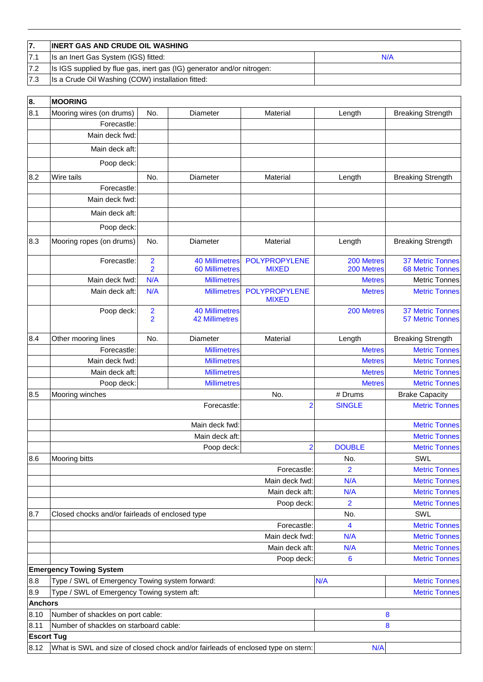|                  | <b>INERT GAS AND CRUDE OIL WASHING</b>                                 |     |
|------------------|------------------------------------------------------------------------|-----|
|                  | Is an Inert Gas System (IGS) fitted:                                   | N/A |
| 17.2             | Is IGS supplied by flue gas, inert gas (IG) generator and/or nitrogen: |     |
| $\overline{7.3}$ | Is a Crude Oil Washing (COW) installation fitted:                      |     |

| 8.                | <b>MOORING</b>                                                                   |                                           |                                                |                                      |                          |                                                    |
|-------------------|----------------------------------------------------------------------------------|-------------------------------------------|------------------------------------------------|--------------------------------------|--------------------------|----------------------------------------------------|
| 8.1               | Mooring wires (on drums)                                                         | No.                                       | Diameter                                       | Material                             | Length                   | <b>Breaking Strength</b>                           |
|                   | Forecastle:                                                                      |                                           |                                                |                                      |                          |                                                    |
|                   | Main deck fwd:                                                                   |                                           |                                                |                                      |                          |                                                    |
|                   | Main deck aft:                                                                   |                                           |                                                |                                      |                          |                                                    |
|                   | Poop deck:                                                                       |                                           |                                                |                                      |                          |                                                    |
| 8.2               | Wire tails                                                                       | No.                                       | Diameter                                       | Material                             | Length                   | <b>Breaking Strength</b>                           |
|                   | Forecastle:                                                                      |                                           |                                                |                                      |                          |                                                    |
|                   | Main deck fwd:                                                                   |                                           |                                                |                                      |                          |                                                    |
|                   | Main deck aft:                                                                   |                                           |                                                |                                      |                          |                                                    |
|                   | Poop deck:                                                                       |                                           |                                                |                                      |                          |                                                    |
| 8.3               | Mooring ropes (on drums)                                                         | No.                                       | Diameter                                       | Material                             | Length                   | <b>Breaking Strength</b>                           |
|                   | Forecastle:                                                                      | $\overline{\mathbf{c}}$<br>$\overline{2}$ | <b>40 Millimetres</b><br><b>60 Millimetres</b> | <b>POLYPROPYLENE</b><br><b>MIXED</b> | 200 Metres<br>200 Metres | <b>37 Metric Tonnes</b><br><b>68 Metric Tonnes</b> |
|                   | Main deck fwd:                                                                   | N/A                                       | <b>Millimetres</b>                             |                                      | <b>Metres</b>            | <b>Metric Tonnes</b>                               |
|                   | Main deck aft:                                                                   | N/A                                       | <b>Millimetres</b>                             | <b>POLYPROPYLENE</b><br><b>MIXED</b> | <b>Metres</b>            | <b>Metric Tonnes</b>                               |
|                   | Poop deck:                                                                       | $\overline{\mathbf{c}}$<br>$\overline{2}$ | <b>40 Millimetres</b><br><b>42 Millimetres</b> |                                      | 200 Metres               | <b>37 Metric Tonnes</b><br><b>57 Metric Tonnes</b> |
| 8.4               | Other mooring lines                                                              | No.                                       | Diameter                                       | Material                             | Length                   | <b>Breaking Strength</b>                           |
|                   | Forecastle:                                                                      |                                           | <b>Millimetres</b>                             |                                      | <b>Metres</b>            | <b>Metric Tonnes</b>                               |
|                   | Main deck fwd:                                                                   |                                           | <b>Millimetres</b>                             |                                      | <b>Metres</b>            | <b>Metric Tonnes</b>                               |
|                   | Main deck aft:                                                                   |                                           | <b>Millimetres</b>                             |                                      | <b>Metres</b>            | <b>Metric Tonnes</b>                               |
|                   | Poop deck:                                                                       |                                           | <b>Millimetres</b>                             |                                      | <b>Metres</b>            | <b>Metric Tonnes</b>                               |
| 8.5               | Mooring winches                                                                  |                                           |                                                | No.                                  | # Drums                  | <b>Brake Capacity</b>                              |
|                   |                                                                                  |                                           | Forecastle:                                    | $\overline{2}$                       | <b>SINGLE</b>            | <b>Metric Tonnes</b>                               |
|                   |                                                                                  |                                           | Main deck fwd:                                 |                                      |                          | <b>Metric Tonnes</b>                               |
|                   |                                                                                  |                                           | Main deck aft:                                 |                                      |                          | <b>Metric Tonnes</b>                               |
|                   |                                                                                  |                                           | Poop deck:                                     | $\overline{2}$                       | <b>DOUBLE</b>            | <b>Metric Tonnes</b>                               |
| 8.6               | Mooring bitts                                                                    |                                           |                                                |                                      | No.                      | SWL                                                |
|                   |                                                                                  |                                           |                                                | Forecastle:                          | $\overline{2}$           | <b>Metric Tonnes</b>                               |
|                   |                                                                                  |                                           |                                                | Main deck fwd:                       | N/A                      | <b>Metric Tonnes</b>                               |
|                   |                                                                                  |                                           |                                                | Main deck aft:                       | N/A                      | <b>Metric Tonnes</b>                               |
| 8.7               |                                                                                  |                                           |                                                | Poop deck:                           | $\overline{2}$           | <b>Metric Tonnes</b><br>SWL                        |
|                   | Closed chocks and/or fairleads of enclosed type                                  |                                           |                                                | Forecastle:                          | No.<br>4                 | <b>Metric Tonnes</b>                               |
|                   |                                                                                  |                                           |                                                | Main deck fwd:                       | N/A                      | <b>Metric Tonnes</b>                               |
|                   |                                                                                  |                                           |                                                | Main deck aft:                       | N/A                      | <b>Metric Tonnes</b>                               |
|                   |                                                                                  |                                           |                                                | Poop deck:                           | 6                        | <b>Metric Tonnes</b>                               |
|                   | <b>Emergency Towing System</b>                                                   |                                           |                                                |                                      |                          |                                                    |
| 8.8               | Type / SWL of Emergency Towing system forward:                                   |                                           |                                                |                                      | N/A                      | <b>Metric Tonnes</b>                               |
| 8.9               | Type / SWL of Emergency Towing system aft:                                       |                                           |                                                |                                      |                          | <b>Metric Tonnes</b>                               |
| <b>Anchors</b>    |                                                                                  |                                           |                                                |                                      |                          |                                                    |
| 8.10              | Number of shackles on port cable:                                                |                                           |                                                |                                      |                          | 8                                                  |
| 8.11              | Number of shackles on starboard cable:                                           |                                           |                                                |                                      |                          | 8                                                  |
| <b>Escort Tug</b> |                                                                                  |                                           |                                                |                                      |                          |                                                    |
| 8.12              | What is SWL and size of closed chock and/or fairleads of enclosed type on stern: |                                           |                                                |                                      | N/A                      |                                                    |